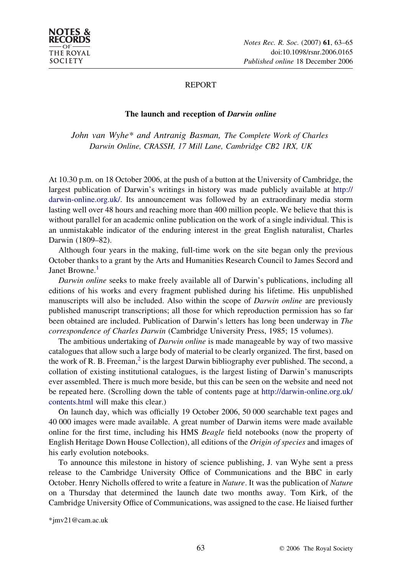

## REPORT

## The launch and reception of Darwin online

John van Wyhe\* and Antranig Basman, The Complete Work of Charles Darwin Online, CRASSH, 17 Mill Lane, Cambridge CB2 1RX, UK

At 10.30 p.m. on 18 October 2006, at the push of a button at the University of Cambridge, the largest publication of Darwin's writings in history was made publicly available at [http://](http://darwin-online.org.uk/) [darwin-online.org.uk/](http://darwin-online.org.uk/). Its announcement was followed by an extraordinary media storm lasting well over 48 hours and reaching more than 400 million people. We believe that this is without parallel for an academic online publication on the work of a single individual. This is an unmistakable indicator of the enduring interest in the great English naturalist, Charles Darwin (1809–82).

Although four years in the making, full-time work on the site began only the previous October thanks to a grant by the Arts and Humanities Research Council to James Secord and Janet Browne.<sup>[1](#page-2-0)</sup>

Darwin online seeks to make freely available all of Darwin's publications, including all editions of his works and every fragment published during his lifetime. His unpublished manuscripts will also be included. Also within the scope of *Darwin online* are previously published manuscript transcriptions; all those for which reproduction permission has so far been obtained are included. Publication of Darwin's letters has long been underway in The correspondence of Charles Darwin (Cambridge University Press, 1985; 15 volumes).

The ambitious undertaking of *Darwin online* is made manageable by way of two massive catalogues that allow such a large body of material to be clearly organized. The first, based on the work of R. B. Freeman,<sup>[2](#page-2-0)</sup> is the largest Darwin bibliography ever published. The second, a collation of existing institutional catalogues, is the largest listing of Darwin's manuscripts ever assembled. There is much more beside, but this can be seen on the website and need not be repeated here. (Scrolling down the table of contents page at [http://darwin-online.org.uk/](http://darwin-online.org.uk/contents.html) [contents.html](http://darwin-online.org.uk/contents.html) will make this clear.)

On launch day, which was officially 19 October 2006, 50 000 searchable text pages and 40 000 images were made available. A great number of Darwin items were made available online for the first time, including his HMS Beagle field notebooks (now the property of English Heritage Down House Collection), all editions of the Origin of species and images of his early evolution notebooks.

To announce this milestone in history of science publishing, J. van Wyhe sent a press release to the Cambridge University Office of Communications and the BBC in early October. Henry Nicholls offered to write a feature in Nature. It was the publication of Nature on a Thursday that determined the launch date two months away. Tom Kirk, of the Cambridge University Office of Communications, was assigned to the case. He liaised further

<sup>\*</sup>jmv21@cam.ac.uk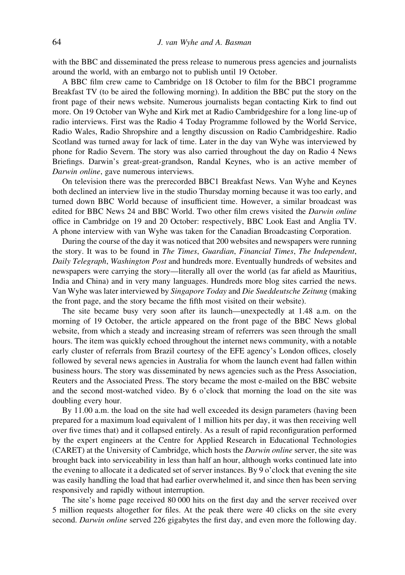with the BBC and disseminated the press release to numerous press agencies and journalists around the world, with an embargo not to publish until 19 October.

A BBC film crew came to Cambridge on 18 October to film for the BBC1 programme Breakfast TV (to be aired the following morning). In addition the BBC put the story on the front page of their news website. Numerous journalists began contacting Kirk to find out more. On 19 October van Wyhe and Kirk met at Radio Cambridgeshire for a long line-up of radio interviews. First was the Radio 4 Today Programme followed by the World Service, Radio Wales, Radio Shropshire and a lengthy discussion on Radio Cambridgeshire. Radio Scotland was turned away for lack of time. Later in the day van Wyhe was interviewed by phone for Radio Severn. The story was also carried throughout the day on Radio 4 News Briefings. Darwin's great-great-grandson, Randal Keynes, who is an active member of Darwin online, gave numerous interviews.

On television there was the prerecorded BBC1 Breakfast News. Van Wyhe and Keynes both declined an interview live in the studio Thursday morning because it was too early, and turned down BBC World because of insufficient time. However, a similar broadcast was edited for BBC News 24 and BBC World. Two other film crews visited the Darwin online office in Cambridge on 19 and 20 October: respectively, BBC Look East and Anglia TV. A phone interview with van Wyhe was taken for the Canadian Broadcasting Corporation.

During the course of the day it was noticed that 200 websites and newspapers were running the story. It was to be found in The Times, Guardian, Financial Times, The Independent, Daily Telegraph, Washington Post and hundreds more. Eventually hundreds of websites and newspapers were carrying the story—literally all over the world (as far afield as Mauritius, India and China) and in very many languages. Hundreds more blog sites carried the news. Van Wyhe was later interviewed by Singapore Today and Die Sueddeutsche Zeitung (making the front page, and the story became the fifth most visited on their website).

The site became busy very soon after its launch—unexpectedly at 1.48 a.m. on the morning of 19 October, the article appeared on the front page of the BBC News global website, from which a steady and increasing stream of referrers was seen through the small hours. The item was quickly echoed throughout the internet news community, with a notable early cluster of referrals from Brazil courtesy of the EFE agency's London offices, closely followed by several news agencies in Australia for whom the launch event had fallen within business hours. The story was disseminated by news agencies such as the Press Association, Reuters and the Associated Press. The story became the most e-mailed on the BBC website and the second most-watched video. By 6 o'clock that morning the load on the site was doubling every hour.

By 11.00 a.m. the load on the site had well exceeded its design parameters (having been prepared for a maximum load equivalent of 1 million hits per day, it was then receiving well over five times that) and it collapsed entirely. As a result of rapid reconfiguration performed by the expert engineers at the Centre for Applied Research in Educational Technologies (CARET) at the University of Cambridge, which hosts the Darwin online server, the site was brought back into serviceability in less than half an hour, although works continued late into the evening to allocate it a dedicated set of server instances. By 9 o'clock that evening the site was easily handling the load that had earlier overwhelmed it, and since then has been serving responsively and rapidly without interruption.

The site's home page received 80 000 hits on the first day and the server received over 5 million requests altogether for files. At the peak there were 40 clicks on the site every second. Darwin online served 226 gigabytes the first day, and even more the following day.